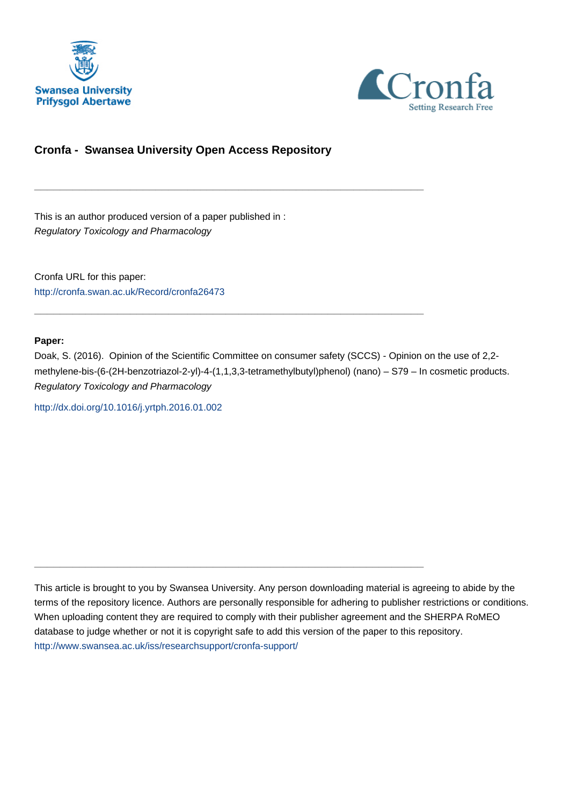



## **Cronfa - Swansea University Open Access Repository**

\_\_\_\_\_\_\_\_\_\_\_\_\_\_\_\_\_\_\_\_\_\_\_\_\_\_\_\_\_\_\_\_\_\_\_\_\_\_\_\_\_\_\_\_\_\_\_\_\_\_\_\_\_\_\_\_\_\_\_\_\_

 $\_$  , and the set of the set of the set of the set of the set of the set of the set of the set of the set of the set of the set of the set of the set of the set of the set of the set of the set of the set of the set of th

\_\_\_\_\_\_\_\_\_\_\_\_\_\_\_\_\_\_\_\_\_\_\_\_\_\_\_\_\_\_\_\_\_\_\_\_\_\_\_\_\_\_\_\_\_\_\_\_\_\_\_\_\_\_\_\_\_\_\_\_\_

This is an author produced version of a paper published in : Regulatory Toxicology and Pharmacology

Cronfa URL for this paper: <http://cronfa.swan.ac.uk/Record/cronfa26473>

#### **Paper:**

Doak, S. (2016). Opinion of the Scientific Committee on consumer safety (SCCS) - Opinion on the use of 2,2 methylene-bis-(6-(2H-benzotriazol-2-yl)-4-(1,1,3,3-tetramethylbutyl)phenol) (nano) – S79 – In cosmetic products. Regulatory Toxicology and Pharmacology

<http://dx.doi.org/10.1016/j.yrtph.2016.01.002>

This article is brought to you by Swansea University. Any person downloading material is agreeing to abide by the terms of the repository licence. Authors are personally responsible for adhering to publisher restrictions or conditions. When uploading content they are required to comply with their publisher agreement and the SHERPA RoMEO database to judge whether or not it is copyright safe to add this version of the paper to this repository. [http://www.swansea.ac.uk/iss/researchsupport/cronfa-support/](http://www.swansea.ac.uk/iss/researchsupport/cronfa-support/ )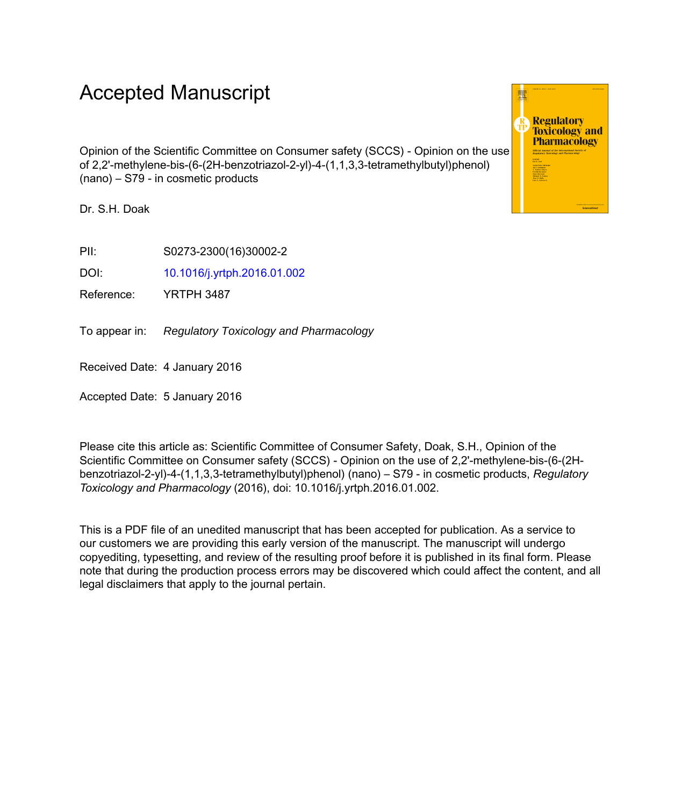# Accepted Manuscript

Opinion of the Scientific Committee on Consumer safety (SCCS) - Opinion on the use of 2,2'-methylene-bis-(6-(2H-benzotriazol-2-yl)-4-(1,1,3,3-tetramethylbutyl)phenol) (nano) – S79 - in cosmetic products

Dr. S.H. Doak

PII: S0273-2300(16)30002-2

DOI: 10.1016/j.yrtph.2016.01.002

Reference: YRTPH 3487

To appear in: Regulatory Toxicology and Pharmacology

Received Date: 4 January 2016

Accepted Date: 5 January 2016

Please cite this article as: Scientific Committee of Consumer Safety, Doak, S.H., Opinion of the Scientific Committee on Consumer safety (SCCS) - Opinion on the use of 2,2'-methylene-bis-(6-(2Hbenzotriazol-2-yl)-4-(1,1,3,3-tetramethylbutyl)phenol) (nano) – S79 - in cosmetic products, *Regulatory Toxicology and Pharmacology* (2016), doi: 10.1016/j.yrtph.2016.01.002.

This is a PDF file of an unedited manuscript that has been accepted for publication. As a service to our customers we are providing this early version of the manuscript. The manuscript will undergo copyediting, typesetting, and review of the resulting proof before it is published in its final form. Please note that during the production process errors may be discovered which could affect the content, and all legal disclaimers that apply to the journal pertain.

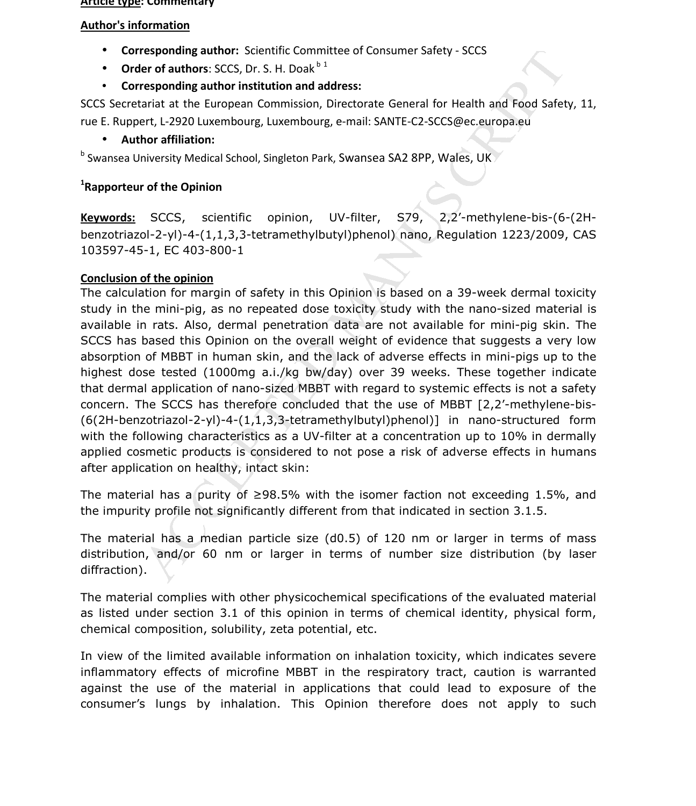#### **Article type: Commentary**

#### **Author's information**

- **Corresponding author:** Scientific Committee of Consumer Safety SCCS
- **Order of authors:** SCCS, Dr. S. H. Doak $b<sup>1</sup>$
- **Corresponding author institution and address:**

SCCS Secretariat at the European Commission, Directorate General for Health and Food Safety, 11, rue E. Ruppert, L-2920 Luxembourg, Luxembourg, e-mail: SANTE-C2-SCCS@ec.europa.eu

#### • **Author affiliation:**

<sup>b</sup> Swansea University Medical School, Singleton Park, Swansea SA2 8PP, Wales, UK

### **1 Rapporteur of the Opinion**

**Keywords:** SCCS, scientific opinion, UV-filter, S79, 2,2'-methylene-bis-(6-(2Hbenzotriazol-2-yl)-4-(1,1,3,3-tetramethylbutyl)phenol) nano, Regulation 1223/2009, CAS 103597-45-1, EC 403-800-1

#### **Conclusion of the opinion**

responding author Socientic Committee of Consumer Safety - SCCS<br>
er of authors SCCS, Dr. S. H. Doak<sup>b 1</sup><br>
responding author institution and address:<br>
arist at the European Commission, Directorate General for Health and Foo The calculation for margin of safety in this Opinion is based on a 39-week dermal toxicity study in the mini-pig, as no repeated dose toxicity study with the nano-sized material is available in rats. Also, dermal penetration data are not available for mini-pig skin. The SCCS has based this Opinion on the overall weight of evidence that suggests a very low absorption of MBBT in human skin, and the lack of adverse effects in mini-pigs up to the highest dose tested (1000mg a.i./kg bw/day) over 39 weeks. These together indicate that dermal application of nano-sized MBBT with regard to systemic effects is not a safety concern. The SCCS has therefore concluded that the use of MBBT [2,2'-methylene-bis- (6(2H-benzotriazol-2-yl)-4-(1,1,3,3-tetramethylbutyl)phenol)] in nano-structured form with the following characteristics as a UV-filter at a concentration up to 10% in dermally applied cosmetic products is considered to not pose a risk of adverse effects in humans after application on healthy, intact skin:

The material has a purity of  $\geq$ 98.5% with the isomer faction not exceeding 1.5%, and the impurity profile not significantly different from that indicated in section 3.1.5.

The material has a median particle size (d0.5) of 120 nm or larger in terms of mass distribution, and/or 60 nm or larger in terms of number size distribution (by laser diffraction).

The material complies with other physicochemical specifications of the evaluated material as listed under section 3.1 of this opinion in terms of chemical identity, physical form, chemical composition, solubility, zeta potential, etc.

In view of the limited available information on inhalation toxicity, which indicates severe inflammatory effects of microfine MBBT in the respiratory tract, caution is warranted against the use of the material in applications that could lead to exposure of the consumer's lungs by inhalation. This Opinion therefore does not apply to such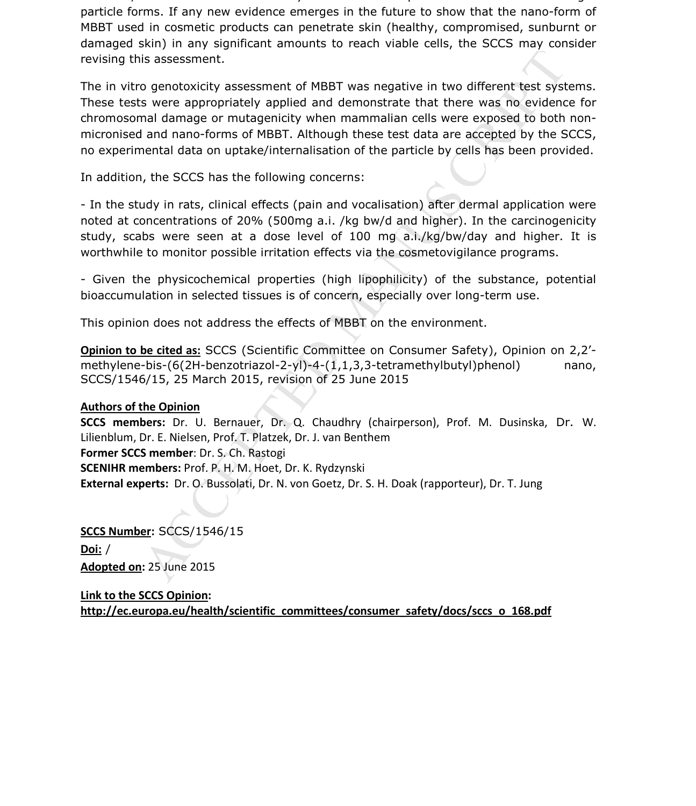evidence, which shows an overall very low dermal absorption of MBBT in nano- or larger particle forms. If any new evidence emerges in the future to show that the nano-form of MBBT used in cosmetic products can penetrate skin (healthy, compromised, sunburnt or damaged skin) in any significant amounts to reach viable cells, the SCCS may consider revising this assessment.

is assessment.<br>
So genotoxicity assessment of MBBT was negative in two different test syst<br>
so were appropriately applied and demonstrate that there was no evidence<br>
and damage or mutagenicity when mammalian cells were exp The in vitro genotoxicity assessment of MBBT was negative in two different test systems. These tests were appropriately applied and demonstrate that there was no evidence for chromosomal damage or mutagenicity when mammalian cells were exposed to both nonmicronised and nano-forms of MBBT. Although these test data are accepted by the SCCS, no experimental data on uptake/internalisation of the particle by cells has been provided.

In addition, the SCCS has the following concerns:

- In the study in rats, clinical effects (pain and vocalisation) after dermal application were noted at concentrations of 20% (500mg a.i. /kg bw/d and higher). In the carcinogenicity study, scabs were seen at a dose level of 100 mg a.i./kg/bw/day and higher. It is worthwhile to monitor possible irritation effects via the cosmetovigilance programs.

- Given the physicochemical properties (high lipophilicity) of the substance, potential bioaccumulation in selected tissues is of concern, especially over long-term use.

This opinion does not address the effects of MBBT on the environment.

**Opinion to be cited as:** SCCS (Scientific Committee on Consumer Safety), Opinion on 2,2' methylene-bis-(6(2H-benzotriazol-2-yl)-4-(1,1,3,3-tetramethylbutyl)phenol) nano, SCCS/1546/15, 25 March 2015, revision of 25 June 2015

#### **Authors of the Opinion**

**SCCS members:** Dr. U. Bernauer, Dr. Q. Chaudhry (chairperson), Prof. M. Dusinska, Dr. W. Lilienblum, Dr. E. Nielsen, Prof. T. Platzek, Dr. J. van Benthem **Former SCCS member**: Dr. S. Ch. Rastogi **SCENIHR members:** Prof. P. H. M. Hoet, Dr. K. Rydzynski **External experts:** Dr. O. Bussolati, Dr. N. von Goetz, Dr. S. H. Doak (rapporteur), Dr. T. Jung

**SCCS Number:** SCCS/1546/15 **Doi:** / **Adopted on:** 25 June 2015

**Link to the SCCS Opinion: http://ec.europa.eu/health/scientific\_committees/consumer\_safety/docs/sccs\_o\_168.pdf**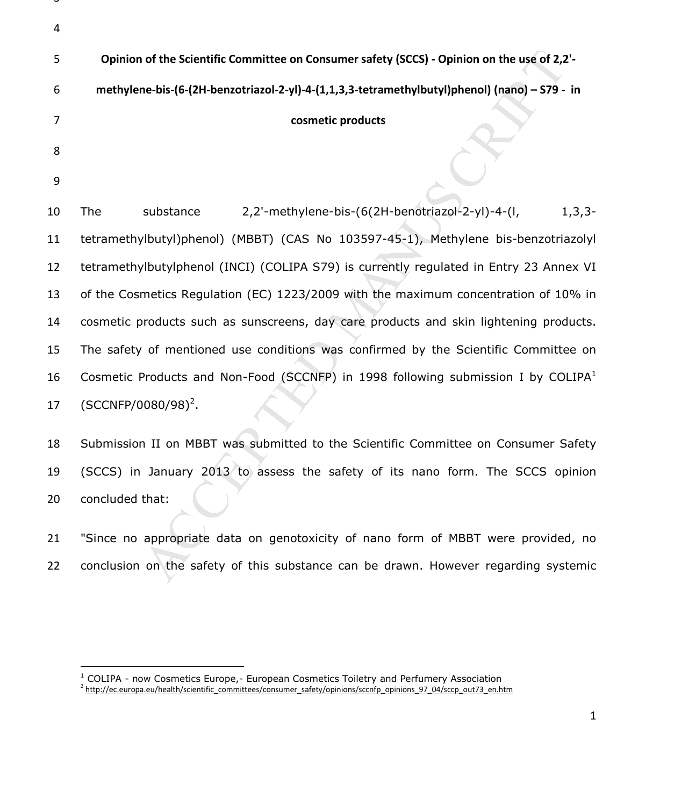|   | Opinion of the Scientific Committee on Consumer safety (SCCS) - Opinion on the use of 2,2'-   |
|---|-----------------------------------------------------------------------------------------------|
| 6 | methylene-bis-(6-(2H-benzotriazol-2-yl)-4-(1,1,3,3-tetramethylbutyl)phenol) (nano) - S79 - in |
|   | cosmetic products                                                                             |
| 8 |                                                                                               |
|   |                                                                                               |

v,

.<br>-

of the Scientific Committee on Consumer safety (SCCS) - Opinion on the use of 2,2<br>ne-bis-(6-(2H-benzotriazol-2-yl)-4-(1,1,3,3-tetramethylbutyl)phenol) (nano) – 579 -<br>cosmetic products<br>substance 2,2'-methylene-bis-(6(2H-ben The substance 2,2'-methylene-bis-(6(2H-benotriazol-2-yl)-4-(l, 1,3,3- tetramethylbutyl)phenol) (MBBT) (CAS No 103597-45-1), Methylene bis-benzotriazolyl tetramethylbutylphenol (INCI) (COLIPA S79) is currently regulated in Entry 23 Annex VI of the Cosmetics Regulation (EC) 1223/2009 with the maximum concentration of 10% in cosmetic products such as sunscreens, day care products and skin lightening products. The safety of mentioned use conditions was confirmed by the Scientific Committee on Cosmetic Products and Non-Food (SCCNFP) in 1998 following submission I by COLIPA<sup>1</sup> 17 (SCCNFP/0080/98)<sup>2</sup>.

Submission II on MBBT was submitted to the Scientific Committee on Consumer Safety (SCCS) in January 2013 to assess the safety of its nano form. The SCCS opinion concluded that:

"Since no appropriate data on genotoxicity of nano form of MBBT were provided, no conclusion on the safety of this substance can be drawn. However regarding systemic

<sup>&</sup>lt;sup>1</sup> COLIPA - now Cosmetics Europe,- European Cosmetics Toiletry and Perfumery Association <sup>2</sup> http://ec.europa.eu/health/scientific\_committees/consumer\_safety/opinions/sccnfp\_opinions\_97\_04/sccp\_out73\_en.htm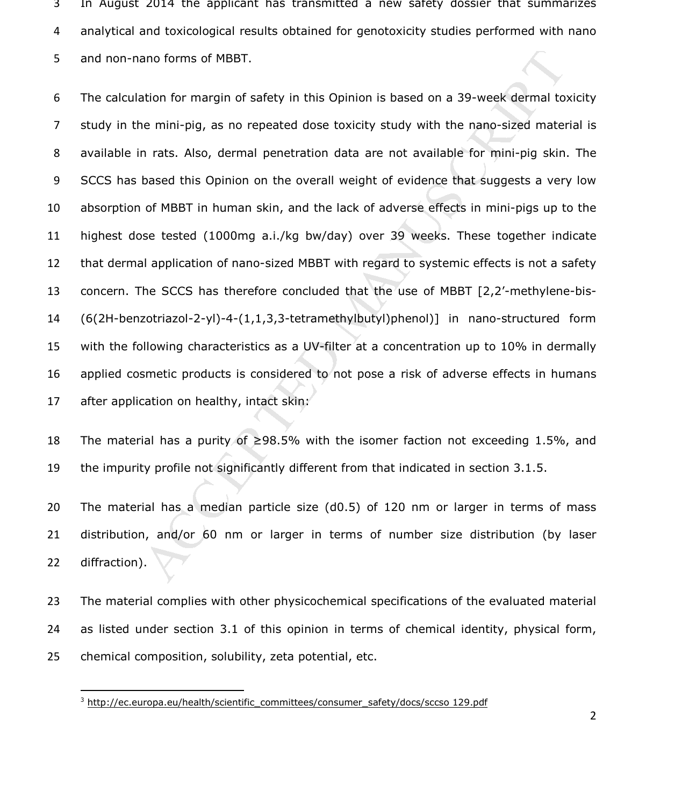In August 2014 the applicant has transmitted a new safety dossier that summarizes analytical and toxicological results obtained for genotoxicity studies performed with nano and non-nano forms of MBBT.

ano forms of MBBT.<br>
ation for margin of safety in this Opinion is based on a 39-week dermal to<br>
e mini-pig, as no repeated dose toxicity study with the nano-sized mate<br>
n rats. Also, dermal penetration data are not availa The calculation for margin of safety in this Opinion is based on a 39-week dermal toxicity study in the mini-pig, as no repeated dose toxicity study with the nano-sized material is available in rats. Also, dermal penetration data are not available for mini-pig skin. The SCCS has based this Opinion on the overall weight of evidence that suggests a very low absorption of MBBT in human skin, and the lack of adverse effects in mini-pigs up to the highest dose tested (1000mg a.i./kg bw/day) over 39 weeks. These together indicate that dermal application of nano-sized MBBT with regard to systemic effects is not a safety concern. The SCCS has therefore concluded that the use of MBBT [2,2'-methylene-bis-(6(2H-benzotriazol-2-yl)-4-(1,1,3,3-tetramethylbutyl)phenol)] in nano-structured form with the following characteristics as a UV-filter at a concentration up to 10% in dermally applied cosmetic products is considered to not pose a risk of adverse effects in humans after application on healthy, intact skin:

The material has a purity of ≥98.5% with the isomer faction not exceeding 1.5%, and the impurity profile not significantly different from that indicated in section 3.1.5.

The material has a median particle size (d0.5) of 120 nm or larger in terms of mass distribution, and/or 60 nm or larger in terms of number size distribution (by laser diffraction).

The material complies with other physicochemical specifications of the evaluated material as listed under section 3.1 of this opinion in terms of chemical identity, physical form, chemical composition, solubility, zeta potential, etc.

-

<sup>&</sup>lt;sup>3</sup> http://ec.europa.eu/health/scientific\_committees/consumer\_safety/docs/sccso 129.pdf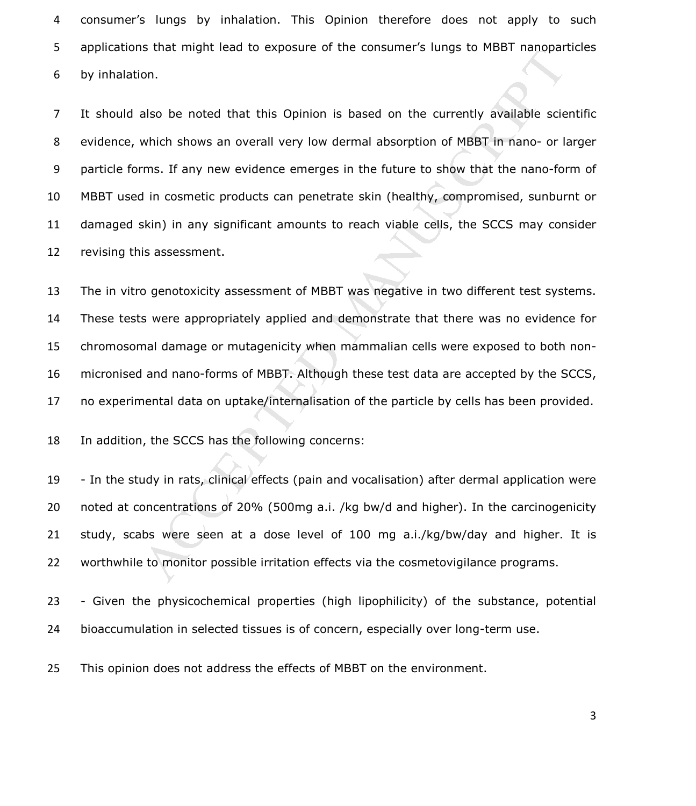consumer's lungs by inhalation. This Opinion therefore does not apply to such applications that might lead to exposure of the consumer's lungs to MBBT nanoparticles by inhalation.

also be noted that this Opinion is based on the currently available science.<br>Salso be noted that this Opinion is based on the currently available sciencials on.<br>Making hows an overall very low dermal absorption of MBBT in It should also be noted that this Opinion is based on the currently available scientific evidence, which shows an overall very low dermal absorption of MBBT in nano- or larger particle forms. If any new evidence emerges in the future to show that the nano-form of MBBT used in cosmetic products can penetrate skin (healthy, compromised, sunburnt or damaged skin) in any significant amounts to reach viable cells, the SCCS may consider revising this assessment.

The in vitro genotoxicity assessment of MBBT was negative in two different test systems. These tests were appropriately applied and demonstrate that there was no evidence for chromosomal damage or mutagenicity when mammalian cells were exposed to both non-micronised and nano-forms of MBBT. Although these test data are accepted by the SCCS, no experimental data on uptake/internalisation of the particle by cells has been provided.

In addition, the SCCS has the following concerns:

- In the study in rats, clinical effects (pain and vocalisation) after dermal application were noted at concentrations of 20% (500mg a.i. /kg bw/d and higher). In the carcinogenicity study, scabs were seen at a dose level of 100 mg a.i./kg/bw/day and higher. It is worthwhile to monitor possible irritation effects via the cosmetovigilance programs.

- Given the physicochemical properties (high lipophilicity) of the substance, potential bioaccumulation in selected tissues is of concern, especially over long-term use.

This opinion does not address the effects of MBBT on the environment.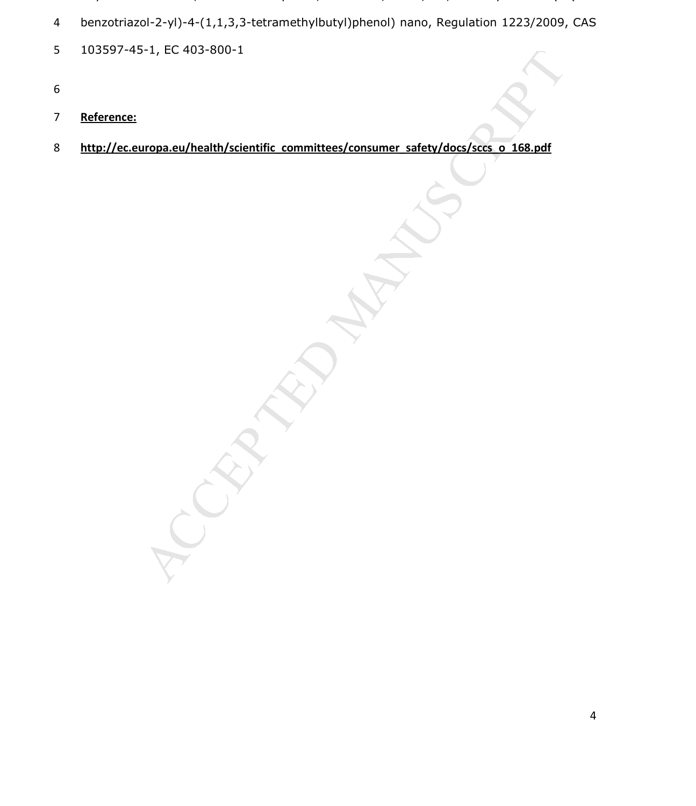- $\overline{1}$  contribution,  $\overline{1}$  and  $\overline{1}$  and  $\overline{1}$  and  $\overline{2}$  and  $\overline{2}$  and  $\overline{2}$ benzotriazol-2-yl)-4-(1,1,3,3-tetramethylbutyl)phenol) nano, Regulation 1223/2009, CAS
- 103597-45-1, EC 403-800-1
- 
- **Reference:**
- **http://ec.europa.eu/health/scientific\_committees/consumer\_safety/docs/sccs\_o\_168.pdf**

MANUSCRIPT ACCEPTED